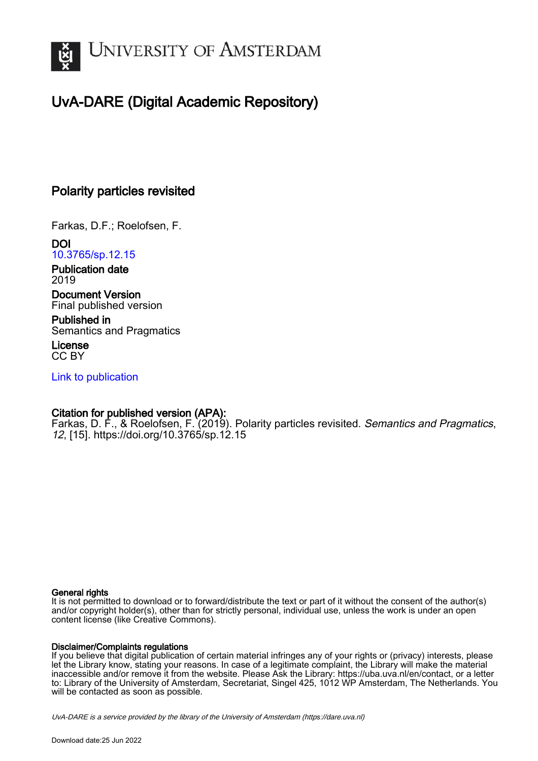

# UvA-DARE (Digital Academic Repository)

# Polarity particles revisited

Farkas, D.F.; Roelofsen, F.

DOI [10.3765/sp.12.15](https://doi.org/10.3765/sp.12.15)

Publication date 2019

Document Version Final published version

Published in Semantics and Pragmatics

License CC BY

[Link to publication](https://dare.uva.nl/personal/pure/en/publications/polarity-particles-revisited(27aee3ec-5b64-40cc-a6e3-8e982c40727c).html)

# Citation for published version (APA):

Farkas, D. F., & Roelofsen, F. (2019). Polarity particles revisited. Semantics and Pragmatics, 12, [15]. <https://doi.org/10.3765/sp.12.15>

### General rights

It is not permitted to download or to forward/distribute the text or part of it without the consent of the author(s) and/or copyright holder(s), other than for strictly personal, individual use, unless the work is under an open content license (like Creative Commons).

### Disclaimer/Complaints regulations

If you believe that digital publication of certain material infringes any of your rights or (privacy) interests, please let the Library know, stating your reasons. In case of a legitimate complaint, the Library will make the material inaccessible and/or remove it from the website. Please Ask the Library: https://uba.uva.nl/en/contact, or a letter to: Library of the University of Amsterdam, Secretariat, Singel 425, 1012 WP Amsterdam, The Netherlands. You will be contacted as soon as possible.

UvA-DARE is a service provided by the library of the University of Amsterdam (http*s*://dare.uva.nl)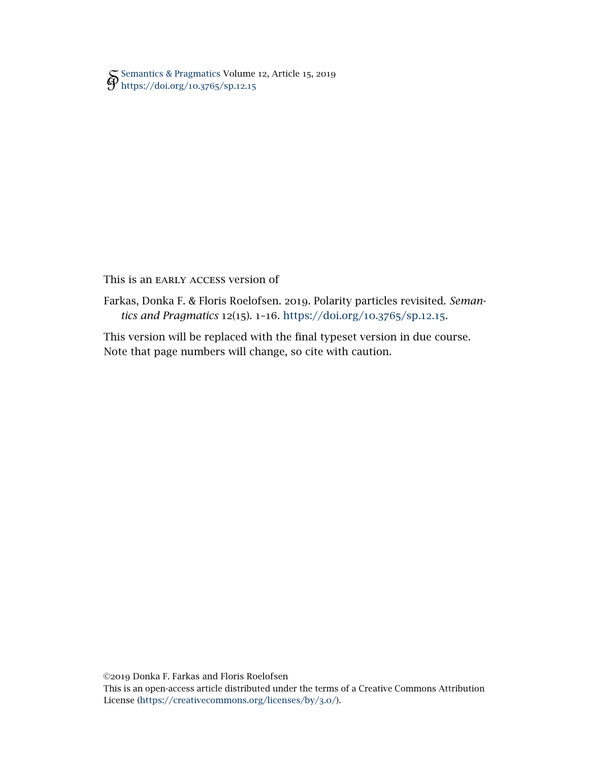[Semantics & Pragmatics](http://semprag.org/) Volume 12, Article 15, 2019 [https://doi.org/](https://doi.org/10.3765/sp.12.15)10.3765/sp.12.15

### This is an EARLY ACCESS version of

Farkas, Donka F. & Floris Roelofsen. 2019. Polarity particles revisited. *Semantics and Pragmatics* 12(15). 1–16. [https://doi.org/](https://doi.org/10.3765/sp.12.15)10.3765/sp.12.15.

This version will be replaced with the final typeset version in due course. Note that page numbers will change, so cite with caution.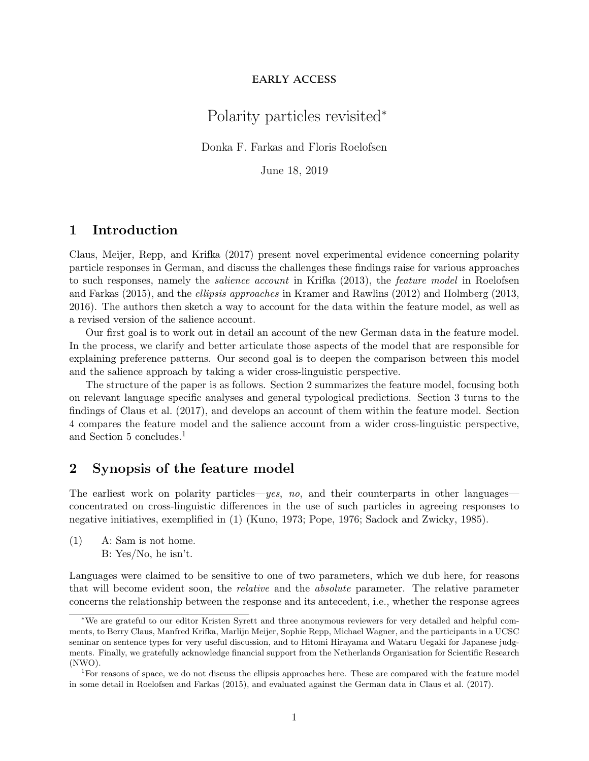### early access

# Polarity particles revisited<sup>∗</sup>

Donka F. Farkas and Floris Roelofsen

June 18, 2019

## 1 Introduction

Claus, Meijer, Repp, and Krifka (2017) present novel experimental evidence concerning polarity particle responses in German, and discuss the challenges these findings raise for various approaches to such responses, namely the salience account in Krifka (2013), the feature model in Roelofsen and Farkas (2015), and the ellipsis approaches in Kramer and Rawlins (2012) and Holmberg (2013, 2016). The authors then sketch a way to account for the data within the feature model, as well as a revised version of the salience account.

Our first goal is to work out in detail an account of the new German data in the feature model. In the process, we clarify and better articulate those aspects of the model that are responsible for explaining preference patterns. Our second goal is to deepen the comparison between this model and the salience approach by taking a wider cross-linguistic perspective.

The structure of the paper is as follows. Section 2 summarizes the feature model, focusing both on relevant language specific analyses and general typological predictions. Section 3 turns to the findings of Claus et al. (2017), and develops an account of them within the feature model. Section 4 compares the feature model and the salience account from a wider cross-linguistic perspective, and Section 5 concludes.<sup>1</sup>

### 2 Synopsis of the feature model

The earliest work on polarity particles—yes, no, and their counterparts in other languages concentrated on cross-linguistic differences in the use of such particles in agreeing responses to negative initiatives, exemplified in (1) (Kuno, 1973; Pope, 1976; Sadock and Zwicky, 1985).

(1) A: Sam is not home. B: Yes/No, he isn't.

Languages were claimed to be sensitive to one of two parameters, which we dub here, for reasons that will become evident soon, the relative and the absolute parameter. The relative parameter concerns the relationship between the response and its antecedent, i.e., whether the response agrees

<sup>∗</sup>We are grateful to our editor Kristen Syrett and three anonymous reviewers for very detailed and helpful comments, to Berry Claus, Manfred Krifka, Marlijn Meijer, Sophie Repp, Michael Wagner, and the participants in a UCSC seminar on sentence types for very useful discussion, and to Hitomi Hirayama and Wataru Uegaki for Japanese judgments. Finally, we gratefully acknowledge financial support from the Netherlands Organisation for Scientific Research (NWO).

<sup>1</sup>For reasons of space, we do not discuss the ellipsis approaches here. These are compared with the feature model in some detail in Roelofsen and Farkas (2015), and evaluated against the German data in Claus et al. (2017).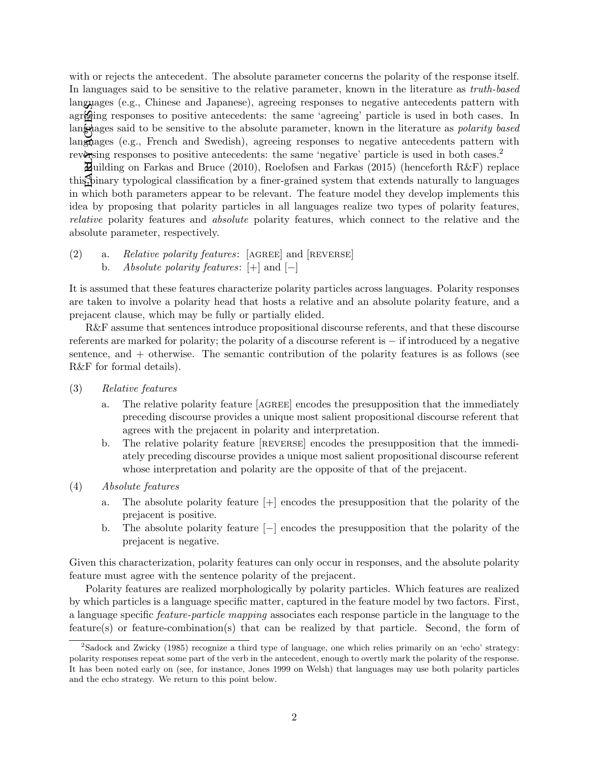$E^A$ **ed**  $E^B$  and  $E^C$  and  $E^C$  and  $E^C$ with or rejects the antecedent. The absolute parameter concerns the polarity of the response itself. In languages said to be sensitive to the relative parameter, known in the literature as truth-based languages (e.g., Chinese and Japanese), agreeing responses to negative antecedents pattern with agreging responses to positive antecedents: the same 'agreeing' particle is used in both cases. In languages said to be sensitive to the absolute parameter, known in the literature as *polarity based* languages (e.g., French and Swedish), agreeing responses to negative antecedents pattern with reversing responses to positive antecedents: the same 'negative' particle is used in both cases.<sup>2</sup>

Building on Farkas and Bruce (2010), Roelofsen and Farkas (2015) (henceforth R&F) replace this binary typological classification by a finer-grained system that extends naturally to languages in which both parameters appear to be relevant. The feature model they develop implements this idea by proposing that polarity particles in all languages realize two types of polarity features, relative polarity features and absolute polarity features, which connect to the relative and the absolute parameter, respectively.

(2) a. Relative polarity features:  $[AGREE]$  and  $[REVERSE]$ b. *Absolute polarity features*:  $[+]$  and  $[-]$ 

It is assumed that these features characterize polarity particles across languages. Polarity responses are taken to involve a polarity head that hosts a relative and an absolute polarity feature, and a prejacent clause, which may be fully or partially elided.

R&F assume that sentences introduce propositional discourse referents, and that these discourse referents are marked for polarity; the polarity of a discourse referent is − if introduced by a negative sentence, and + otherwise. The semantic contribution of the polarity features is as follows (see R&F for formal details).

- (3) Relative features
	- a. The relative polarity feature [AGREE] encodes the presupposition that the immediately preceding discourse provides a unique most salient propositional discourse referent that agrees with the prejacent in polarity and interpretation.
	- b. The relative polarity feature [reverse] encodes the presupposition that the immediately preceding discourse provides a unique most salient propositional discourse referent whose interpretation and polarity are the opposite of that of the prejacent.
- (4) Absolute features
	- a. The absolute polarity feature [+] encodes the presupposition that the polarity of the prejacent is positive.
	- b. The absolute polarity feature [−] encodes the presupposition that the polarity of the prejacent is negative.

Given this characterization, polarity features can only occur in responses, and the absolute polarity feature must agree with the sentence polarity of the prejacent.

Polarity features are realized morphologically by polarity particles. Which features are realized by which particles is a language specific matter, captured in the feature model by two factors. First, a language specific feature-particle mapping associates each response particle in the language to the feature(s) or feature-combination(s) that can be realized by that particle. Second, the form of

<sup>2</sup>Sadock and Zwicky (1985) recognize a third type of language, one which relies primarily on an 'echo' strategy: polarity responses repeat some part of the verb in the antecedent, enough to overtly mark the polarity of the response. It has been noted early on (see, for instance, Jones 1999 on Welsh) that languages may use both polarity particles and the echo strategy. We return to this point below.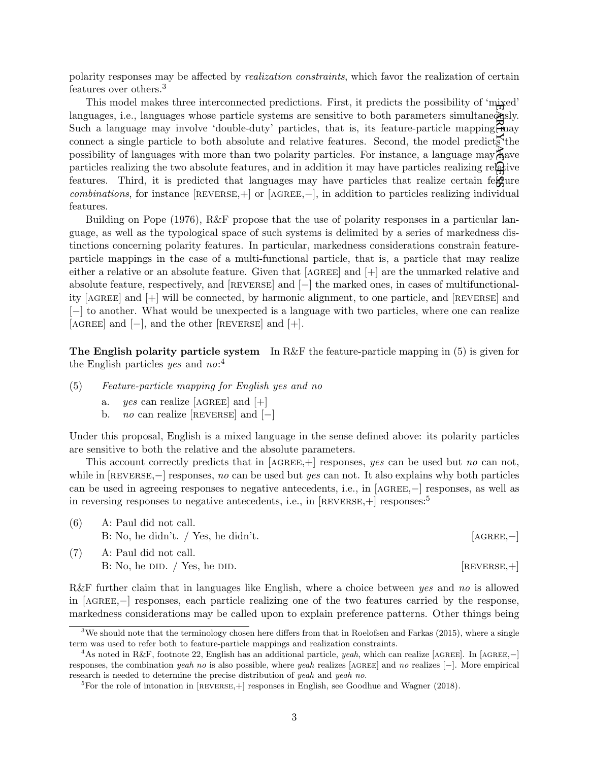polarity responses may be affected by realization constraints, which favor the realization of certain features over others.<sup>3</sup>

 $\mathbf{FARY}^\mathrm{c}$ access This model makes three interconnected predictions. First, it predicts the possibility of 'mixed' languages, i.e., languages whose particle systems are sensitive to both parameters simultaneously. Such a language may involve 'double-duty' particles, that is, its feature-particle mapping  $\widetilde{f}$  may connect a single particle to both absolute and relative features. Second, the model predicts the possibility of languages with more than two polarity particles. For instance, a language may  $\overline{A}$ ave particles realizing the two absolute features, and in addition it may have particles realizing relative features. Third, it is predicted that languages may have particles that realize certain feature combinations, for instance  $[REVERSE,+]$  or  $[AGEE, -]$ , in addition to particles realizing individual features.

Building on Pope (1976), R&F propose that the use of polarity responses in a particular language, as well as the typological space of such systems is delimited by a series of markedness distinctions concerning polarity features. In particular, markedness considerations constrain featureparticle mappings in the case of a multi-functional particle, that is, a particle that may realize either a relative or an absolute feature. Given that  $[AGREE]$  and  $[+]$  are the unmarked relative and absolute feature, respectively, and [reverse] and [−] the marked ones, in cases of multifunctionality [agree] and [+] will be connected, by harmonic alignment, to one particle, and [reverse] and [−] to another. What would be unexpected is a language with two particles, where one can realize  $[AGREE]$  and  $[-]$ , and the other  $[REVERSE]$  and  $[+]$ .

The English polarity particle system In R&F the feature-particle mapping in  $(5)$  is given for the English particles *yes* and  $no:$ <sup>4</sup>

- (5) Feature-particle mapping for English yes and no
	- a. yes can realize [AGREE] and  $[+]$
	- b. *no* can realize  $[REVERSE]$  and  $[-]$

Under this proposal, English is a mixed language in the sense defined above: its polarity particles are sensitive to both the relative and the absolute parameters.

This account correctly predicts that in  $[AGREE,+]$  responses, yes can be used but no can not, while in  $[REVERSE, -]$  responses, no can be used but yes can not. It also explains why both particles can be used in agreeing responses to negative antecedents, i.e., in [AGREE,−] responses, as well as in reversing responses to negative antecedents, i.e., in  $[REVERSE, +]$  responses:<sup>5</sup>

| (6) | A: Paul did not call.               |               |
|-----|-------------------------------------|---------------|
|     | B: No, he didn't. / Yes, he didn't. | $[AGREE, -]$  |
| (7) | A: Paul did not call.               |               |
|     | B: No, he DD. / Yes, he DD.         | $[REVERSE,+]$ |

R&F further claim that in languages like English, where a choice between yes and no is allowed in [agree,−] responses, each particle realizing one of the two features carried by the response, markedness considerations may be called upon to explain preference patterns. Other things being

 $3$ We should note that the terminology chosen here differs from that in Roelofsen and Farkas (2015), where a single term was used to refer both to feature-particle mappings and realization constraints.

<sup>4</sup>As noted in R&F, footnote 22, English has an additional particle, yeah, which can realize [agree]. In [agree,−] responses, the combination yeah no is also possible, where yeah realizes [ $AGREE$ ] and no realizes [−]. More empirical research is needed to determine the precise distribution of yeah and yeah no.

 ${}^{5}$ For the role of intonation in [REVERSE, +] responses in English, see Goodhue and Wagner (2018).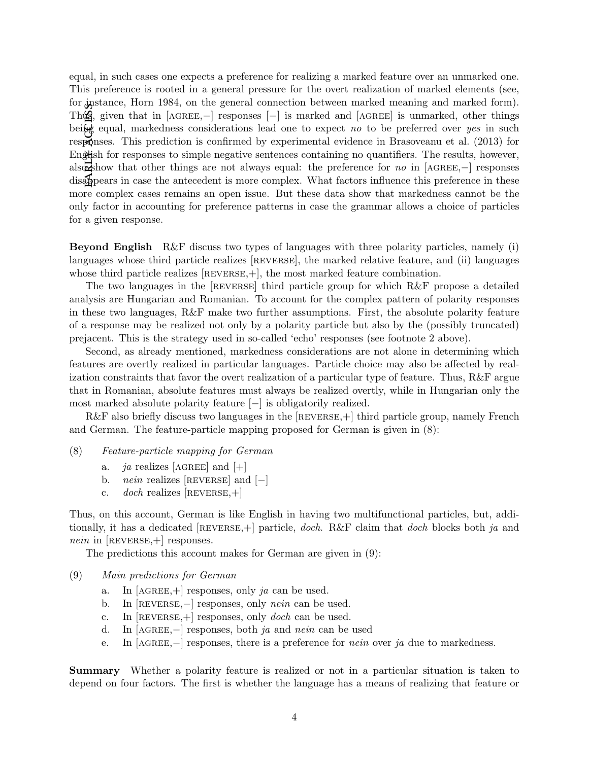EARLY AGEESS equal, in such cases one expects a preference for realizing a marked feature over an unmarked one. This preference is rooted in a general pressure for the overt realization of marked elements (see, for instance, Horn 1984, on the general connection between marked meaning and marked form). Thus, given that in [AGREE,–] responses [–] is marked and [AGREE] is unmarked, other things being equal, markedness considerations lead one to expect no to be preferred over yes in such responses. This prediction is confirmed by experimental evidence in Brasoveanu et al. (2013) for English for responses to simple negative sentences containing no quantifiers. The results, however, also show that other things are not always equal: the preference for no in [AGREE,–] responses disappears in case the antecedent is more complex. What factors influence this preference in these more complex cases remains an open issue. But these data show that markedness cannot be the only factor in accounting for preference patterns in case the grammar allows a choice of particles for a given response.

Beyond English R&F discuss two types of languages with three polarity particles, namely (i) languages whose third particle realizes [REVERSE], the marked relative feature, and (ii) languages whose third particle realizes  $[REVERSE,+]$ , the most marked feature combination.

The two languages in the [reverse] third particle group for which R&F propose a detailed analysis are Hungarian and Romanian. To account for the complex pattern of polarity responses in these two languages, R&F make two further assumptions. First, the absolute polarity feature of a response may be realized not only by a polarity particle but also by the (possibly truncated) prejacent. This is the strategy used in so-called 'echo' responses (see footnote 2 above).

Second, as already mentioned, markedness considerations are not alone in determining which features are overtly realized in particular languages. Particle choice may also be affected by realization constraints that favor the overt realization of a particular type of feature. Thus, R&F argue that in Romanian, absolute features must always be realized overtly, while in Hungarian only the most marked absolute polarity feature [−] is obligatorily realized.

R&F also briefly discuss two languages in the  $[REVERSE,+]$  third particle group, namely French and German. The feature-particle mapping proposed for German is given in (8):

- (8) Feature-particle mapping for German
	- a. *ja* realizes [AGREE] and  $[+]$
	- b. *nein* realizes  $[REVERSE]$  and  $[-]$
	- c. *doch* realizes  $[REVERSE,+]$

Thus, on this account, German is like English in having two multifunctional particles, but, additionally, it has a dedicated [REVERSE, +] particle, *doch.* R&F claim that *doch* blocks both *ja* and *nein* in  $[REVERSE,+]$  responses.

The predictions this account makes for German are given in (9):

- (9) Main predictions for German
	- a. In  $[AGREE,+]$  responses, only ja can be used.
	- b. In [REVERSE,−] responses, only *nein* can be used.
	- c. In  $[REVERSE,+]$  responses, only *doch* can be used.
	- d. In [AGREE, $-$ ] responses, both *ja* and *nein* can be used
	- e. In  $[AGREE, -]$  responses, there is a preference for *nein* over ja due to markedness.

Summary Whether a polarity feature is realized or not in a particular situation is taken to depend on four factors. The first is whether the language has a means of realizing that feature or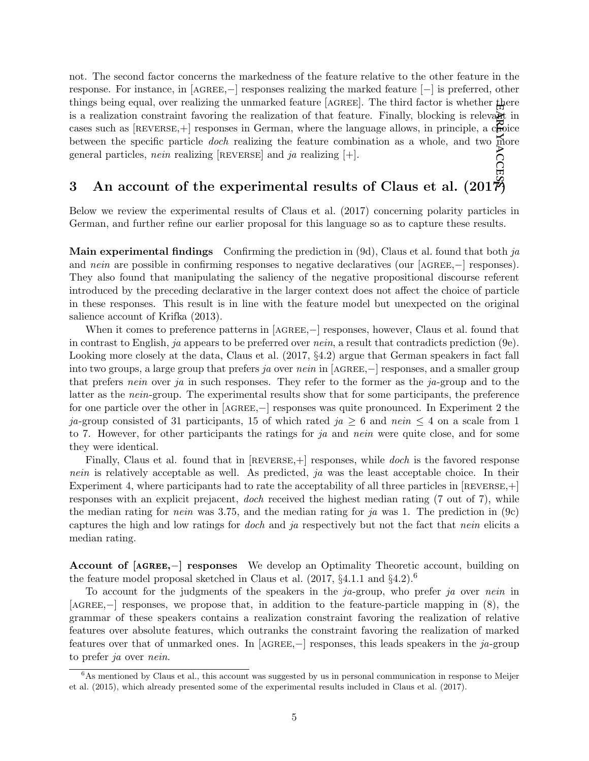erlan access not. The second factor concerns the markedness of the feature relative to the other feature in the response. For instance, in [agree,−] responses realizing the marked feature [−] is preferred, other things being equal, over realizing the unmarked feature [AGREE]. The third factor is whether there is a realization constraint favoring the realization of that feature. Finally, blocking is relevant in cases such as  $[REVERSE,+]$  responses in German, where the language allows, in principle, a choice between the specific particle *doch* realizing the feature combination as a whole, and two more general particles, nein realizing [REVERSE] and ja realizing  $[+]$ .

# 3 An account of the experimental results of Claus et al.  $(201\vec{r})$

Below we review the experimental results of Claus et al. (2017) concerning polarity particles in German, and further refine our earlier proposal for this language so as to capture these results.

**Main experimental findings** Confirming the prediction in  $(9d)$ , Claus et al. found that both ja and nein are possible in confirming responses to negative declaratives (our [AGREE,−] responses). They also found that manipulating the saliency of the negative propositional discourse referent introduced by the preceding declarative in the larger context does not affect the choice of particle in these responses. This result is in line with the feature model but unexpected on the original salience account of Krifka (2013).

When it comes to preference patterns in [AGREE, –] responses, however, Claus et al. found that in contrast to English, ja appears to be preferred over nein, a result that contradicts prediction (9e). Looking more closely at the data, Claus et al.  $(2017, §4.2)$  argue that German speakers in fact fall into two groups, a large group that prefers ja over nein in [AGREE,−] responses, and a smaller group that prefers nein over ja in such responses. They refer to the former as the ja-group and to the latter as the nein-group. The experimental results show that for some participants, the preference for one particle over the other in [agree,−] responses was quite pronounced. In Experiment 2 the ja-group consisted of 31 participants, 15 of which rated ja  $\geq 6$  and nein  $\leq 4$  on a scale from 1 to 7. However, for other participants the ratings for  $ja$  and nein were quite close, and for some they were identical.

Finally, Claus et al. found that in  $[REVERSE,+]$  responses, while *doch* is the favored response nein is relatively acceptable as well. As predicted, ja was the least acceptable choice. In their Experiment 4, where participants had to rate the acceptability of all three particles in  $[REVERSE,+]$ responses with an explicit prejacent, doch received the highest median rating (7 out of 7), while the median rating for *nein* was 3.75, and the median rating for ja was 1. The prediction in  $(9c)$ captures the high and low ratings for *doch* and ja respectively but not the fact that *nein* elicits a median rating.

Account of [agree,−] responses We develop an Optimality Theoretic account, building on the feature model proposal sketched in Claus et al. (2017, §4.1.1 and §4.2).<sup>6</sup>

To account for the judgments of the speakers in the  $ja$ -group, who prefer ja over nein in [agree,−] responses, we propose that, in addition to the feature-particle mapping in (8), the grammar of these speakers contains a realization constraint favoring the realization of relative features over absolute features, which outranks the constraint favoring the realization of marked features over that of unmarked ones. In  $[AGREE, -]$  responses, this leads speakers in the ja-group to prefer ja over nein.

 $6$ As mentioned by Claus et al., this account was suggested by us in personal communication in response to Meijer et al. (2015), which already presented some of the experimental results included in Claus et al. (2017).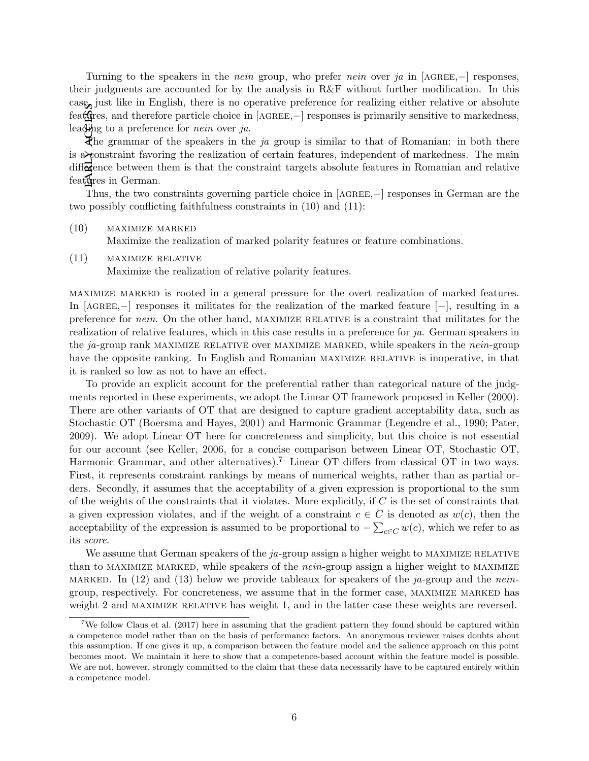Turning to the speakers in the *nein* group, who prefer *nein* over ja in [AGREE,−] responses, their judgments are accounted for by the analysis in R&F without further modification. In this case, just like in English, there is no operative preference for realizing either relative or absolute feat⊕res, and therefore particle choice in [AGREE,–] responses is primarily sensitive to markedness, leading to a preference for *nein* over *ja*.

EARLY ACEESS The grammar of the speakers in the ja group is similar to that of Romanian: in both there is a constraint favoring the realization of certain features, independent of markedness. The main  $diff\overline{\mathbf{c}}$  ence between them is that the constraint targets absolute features in Romanian and relative features in German.

Thus, the two constraints governing particle choice in [AGREE,–] responses in German are the two possibly conflicting faithfulness constraints in (10) and (11):

(10) maximize marked

Maximize the realization of marked polarity features or feature combinations.

(11) maximize relative

Maximize the realization of relative polarity features.

maximize marked is rooted in a general pressure for the overt realization of marked features. In [AGREE, $-$ ] responses it militates for the realization of the marked feature  $[-]$ , resulting in a preference for *nein*. On the other hand, MAXIMIZE RELATIVE is a constraint that militates for the realization of relative features, which in this case results in a preference for ja. German speakers in the ja-group rank MAXIMIZE RELATIVE over MAXIMIZE MARKED, while speakers in the nein-group have the opposite ranking. In English and Romanian MAXIMIZE RELATIVE is inoperative, in that it is ranked so low as not to have an effect.

To provide an explicit account for the preferential rather than categorical nature of the judgments reported in these experiments, we adopt the Linear OT framework proposed in Keller (2000). There are other variants of OT that are designed to capture gradient acceptability data, such as Stochastic OT (Boersma and Hayes, 2001) and Harmonic Grammar (Legendre et al., 1990; Pater, 2009). We adopt Linear OT here for concreteness and simplicity, but this choice is not essential for our account (see Keller, 2006, for a concise comparison between Linear OT, Stochastic OT, Harmonic Grammar, and other alternatives).<sup>7</sup> Linear OT differs from classical OT in two ways. First, it represents constraint rankings by means of numerical weights, rather than as partial orders. Secondly, it assumes that the acceptability of a given expression is proportional to the sum of the weights of the constraints that it violates. More explicitly, if  $C$  is the set of constraints that a given expression violates, and if the weight of a constraint  $c \in C$  is denoted as  $w(c)$ , then the acceptability of the expression is assumed to be proportional to  $-\sum_{c\in C} w(c)$ , which we refer to as its score.

We assume that German speakers of the  $ja$ -group assign a higher weight to MAXIMIZE RELATIVE than to MAXIMIZE MARKED, while speakers of the *nein*-group assign a higher weight to MAXIMIZE MARKED. In (12) and (13) below we provide tableaux for speakers of the ja-group and the neingroup, respectively. For concreteness, we assume that in the former case, maximize marked has weight 2 and MAXIMIZE RELATIVE has weight 1, and in the latter case these weights are reversed.

We follow Claus et al. (2017) here in assuming that the gradient pattern they found should be captured within a competence model rather than on the basis of performance factors. An anonymous reviewer raises doubts about this assumption. If one gives it up, a comparison between the feature model and the salience approach on this point becomes moot. We maintain it here to show that a competence-based account within the feature model is possible. We are not, however, strongly committed to the claim that these data necessarily have to be captured entirely within a competence model.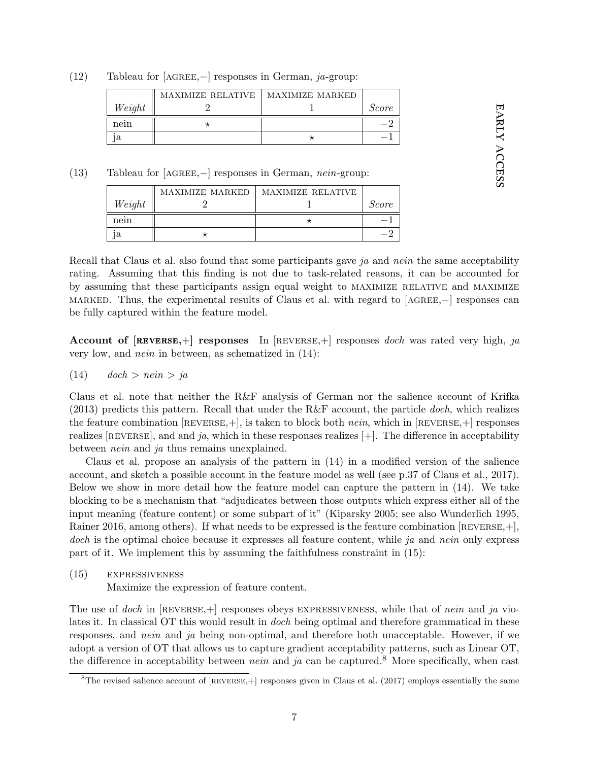(12) Tableau for [AGREE, $-$ ] responses in German, ja-group:

|        | <b>MAXIMIZE RELATIVE</b> | MAXIMIZE MARKED |              |
|--------|--------------------------|-----------------|--------------|
| Weight |                          |                 | <i>Score</i> |
| nein   |                          |                 |              |
|        |                          |                 |              |

(13) Tableau for [agree,−] responses in German, nein-group:

|        | MAXIMIZE MARKED | MAXIMIZE RELATIVE |       |
|--------|-----------------|-------------------|-------|
| Weight |                 |                   | Score |
| nein   |                 |                   |       |
|        |                 |                   |       |

Recall that Claus et al. also found that some participants gave ja and nein the same acceptability rating. Assuming that this finding is not due to task-related reasons, it can be accounted for by assuming that these participants assign equal weight to maximize relative and maximize marked. Thus, the experimental results of Claus et al. with regard to [ $AGREE, -$ ] responses can be fully captured within the feature model.

early

EARLY ACCESS

access

**Account of [REVERSE,+] responses** In [REVERSE,+] responses *doch* was rated very high, ja very low, and nein in between, as schematized in (14):

$$
(14) \qquad \text{doch} > \text{nein} > \text{ja}
$$

Claus et al. note that neither the R&F analysis of German nor the salience account of Krifka  $(2013)$  predicts this pattern. Recall that under the R&F account, the particle *doch*, which realizes the feature combination  $[REVERSE,+]$ , is taken to block both *nein*, which in  $[REVERSE,+]$  responses realizes [REVERSE], and and ja, which in these responses realizes  $[+]$ . The difference in acceptability between *nein* and *ja* thus remains unexplained.

Claus et al. propose an analysis of the pattern in (14) in a modified version of the salience account, and sketch a possible account in the feature model as well (see p.37 of Claus et al., 2017). Below we show in more detail how the feature model can capture the pattern in (14). We take blocking to be a mechanism that "adjudicates between those outputs which express either all of the input meaning (feature content) or some subpart of it" (Kiparsky 2005; see also Wunderlich 1995, Rainer 2016, among others). If what needs to be expressed is the feature combination [REVERSE, +], doch is the optimal choice because it expresses all feature content, while ja and nein only express part of it. We implement this by assuming the faithfulness constraint in (15):

(15) expressiveness

Maximize the expression of feature content.

The use of doch in  $[REVERSE,+]$  responses obeys EXPRESSIVENESS, while that of nein and ja violates it. In classical OT this would result in *doch* being optimal and therefore grammatical in these responses, and *nein* and *ja* being non-optimal, and therefore both unacceptable. However, if we adopt a version of OT that allows us to capture gradient acceptability patterns, such as Linear OT, the difference in acceptability between *nein* and *ja* can be captured.<sup>8</sup> More specifically, when cast

 $8$ The revised salience account of [REVERSE, +] responses given in Claus et al. (2017) employs essentially the same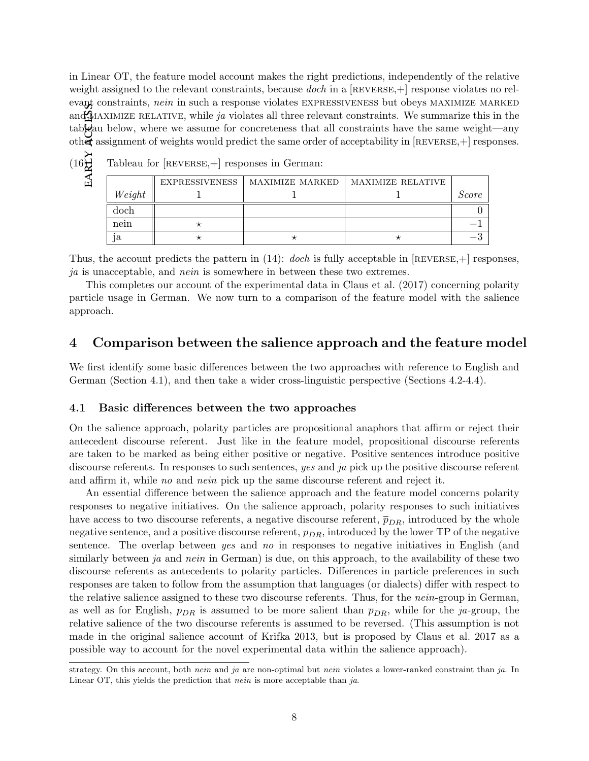early access in Linear OT, the feature model account makes the right predictions, independently of the relative weight assigned to the relevant constraints, because *doch* in a  $[REVERSE,+]$  response violates no relevant constraints, nein in such a response violates EXPRESSIVENESS but obeys MAXIMIZE MARKED and MAXIMIZE RELATIVE, while ja violates all three relevant constraints. We summarize this in the tableau below, where we assume for concreteness that all constraints have the same weight—any other assignment of weights would predict the same order of acceptability in [reverse,+] responses.

|  | è | I<br>L<br>۰. |
|--|---|--------------|
|  |   | J<br>L       |

Tableau for  $[REVERSE,+]$  responses in German:

|        | EXPRESSIVENESS | MAXIMIZE MARKED | MAXIMIZE RELATIVE |       |
|--------|----------------|-----------------|-------------------|-------|
| Weight |                |                 |                   | Score |
| doch   |                |                 |                   |       |
| nein   |                |                 |                   |       |
| ıa     |                |                 |                   |       |

Thus, the account predicts the pattern in  $(14)$ : *doch* is fully acceptable in [REVERSE, +] responses, ja is unacceptable, and nein is somewhere in between these two extremes.

This completes our account of the experimental data in Claus et al. (2017) concerning polarity particle usage in German. We now turn to a comparison of the feature model with the salience approach.

## 4 Comparison between the salience approach and the feature model

We first identify some basic differences between the two approaches with reference to English and German (Section 4.1), and then take a wider cross-linguistic perspective (Sections 4.2-4.4).

#### 4.1 Basic differences between the two approaches

On the salience approach, polarity particles are propositional anaphors that affirm or reject their antecedent discourse referent. Just like in the feature model, propositional discourse referents are taken to be marked as being either positive or negative. Positive sentences introduce positive discourse referents. In responses to such sentences, yes and ja pick up the positive discourse referent and affirm it, while no and nein pick up the same discourse referent and reject it.

An essential difference between the salience approach and the feature model concerns polarity responses to negative initiatives. On the salience approach, polarity responses to such initiatives have access to two discourse referents, a negative discourse referent,  $\bar{p}_{DR}$ , introduced by the whole negative sentence, and a positive discourse referent,  $p_{DR}$ , introduced by the lower TP of the negative sentence. The overlap between yes and no in responses to negative initiatives in English (and similarly between ja and nein in German) is due, on this approach, to the availability of these two discourse referents as antecedents to polarity particles. Differences in particle preferences in such responses are taken to follow from the assumption that languages (or dialects) differ with respect to the relative salience assigned to these two discourse referents. Thus, for the *nein*-group in German, as well as for English,  $p_{DR}$  is assumed to be more salient than  $\bar{p}_{DR}$ , while for the ja-group, the relative salience of the two discourse referents is assumed to be reversed. (This assumption is not made in the original salience account of Krifka 2013, but is proposed by Claus et al. 2017 as a possible way to account for the novel experimental data within the salience approach).

strategy. On this account, both nein and ja are non-optimal but nein violates a lower-ranked constraint than ja. In Linear OT, this yields the prediction that  $nein$  is more acceptable than  $ja$ .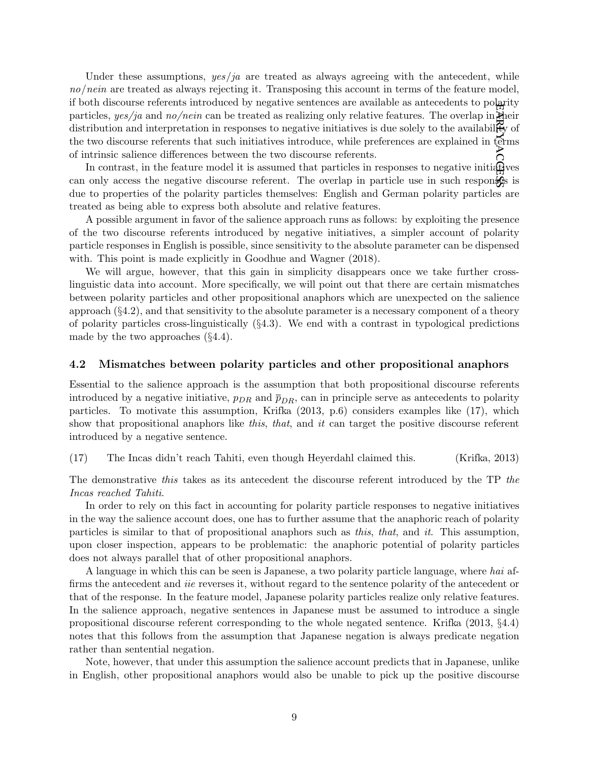early Under these assumptions,  $yes/ja$  are treated as always agreeing with the antecedent, while no/nein are treated as always rejecting it. Transposing this account in terms of the feature model, if both discourse referents introduced by negative sentences are available as antecedents to polarity particles,  $yes/ja$  and  $no/nein$  can be treated as realizing only relative features. The overlap in their distribution and interpretation in responses to negative initiatives is due solely to the availability of the two discourse referents that such initiatives introduce, while preferences are explained in terms of intrinsic salience differences between the two discourse referents.

access In contrast, in the feature model it is assumed that particles in responses to negative initially can only access the negative discourse referent. The overlap in particle use in such responses is due to properties of the polarity particles themselves: English and German polarity particles are treated as being able to express both absolute and relative features.

A possible argument in favor of the salience approach runs as follows: by exploiting the presence of the two discourse referents introduced by negative initiatives, a simpler account of polarity particle responses in English is possible, since sensitivity to the absolute parameter can be dispensed with. This point is made explicitly in Goodhue and Wagner (2018).

We will argue, however, that this gain in simplicity disappears once we take further crosslinguistic data into account. More specifically, we will point out that there are certain mismatches between polarity particles and other propositional anaphors which are unexpected on the salience approach (§4.2), and that sensitivity to the absolute parameter is a necessary component of a theory of polarity particles cross-linguistically  $(\S 4.3)$ . We end with a contrast in typological predictions made by the two approaches (§4.4).

#### 4.2 Mismatches between polarity particles and other propositional anaphors

Essential to the salience approach is the assumption that both propositional discourse referents introduced by a negative initiative,  $p_{DR}$  and  $\bar{p}_{DR}$ , can in principle serve as antecedents to polarity particles. To motivate this assumption, Krifka (2013, p.6) considers examples like (17), which show that propositional anaphors like this, that, and it can target the positive discourse referent introduced by a negative sentence.

#### (17) The Incas didn't reach Tahiti, even though Heyerdahl claimed this. (Krifka, 2013)

The demonstrative this takes as its antecedent the discourse referent introduced by the TP the Incas reached Tahiti.

In order to rely on this fact in accounting for polarity particle responses to negative initiatives in the way the salience account does, one has to further assume that the anaphoric reach of polarity particles is similar to that of propositional anaphors such as this, that, and it. This assumption, upon closer inspection, appears to be problematic: the anaphoric potential of polarity particles does not always parallel that of other propositional anaphors.

A language in which this can be seen is Japanese, a two polarity particle language, where hai affirms the antecedent and *iie* reverses it, without regard to the sentence polarity of the antecedent or that of the response. In the feature model, Japanese polarity particles realize only relative features. In the salience approach, negative sentences in Japanese must be assumed to introduce a single propositional discourse referent corresponding to the whole negated sentence. Krifka (2013, §4.4) notes that this follows from the assumption that Japanese negation is always predicate negation rather than sentential negation.

Note, however, that under this assumption the salience account predicts that in Japanese, unlike in English, other propositional anaphors would also be unable to pick up the positive discourse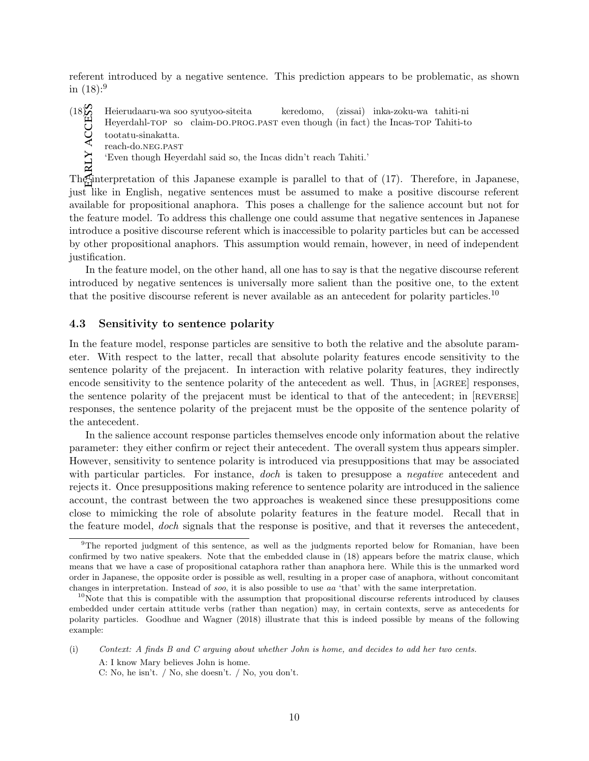referent introduced by a negative sentence. This prediction appears to be problematic, as shown in  $(18):$ <sup>9</sup>

early access  $(18)$  Heierudaaru-wa soo syutyoo-siteita keredomo, (zissai) inka-zoku-wa tahiti-ni

- Heyerdahl-TOP so claim-do.prog.past even though (in fact) the Incas-TOP Tahiti-to
- tootatu-sinakatta.
- reach-do.neg.past
- 'Even though Heyerdahl said so, the Incas didn't reach Tahiti.'

The interpretation of this Japanese example is parallel to that of (17). Therefore, in Japanese, just like in English, negative sentences must be assumed to make a positive discourse referent available for propositional anaphora. This poses a challenge for the salience account but not for the feature model. To address this challenge one could assume that negative sentences in Japanese introduce a positive discourse referent which is inaccessible to polarity particles but can be accessed by other propositional anaphors. This assumption would remain, however, in need of independent justification.

In the feature model, on the other hand, all one has to say is that the negative discourse referent introduced by negative sentences is universally more salient than the positive one, to the extent that the positive discourse referent is never available as an antecedent for polarity particles.<sup>10</sup>

### 4.3 Sensitivity to sentence polarity

In the feature model, response particles are sensitive to both the relative and the absolute parameter. With respect to the latter, recall that absolute polarity features encode sensitivity to the sentence polarity of the prejacent. In interaction with relative polarity features, they indirectly encode sensitivity to the sentence polarity of the antecedent as well. Thus, in [AGREE] responses, the sentence polarity of the prejacent must be identical to that of the antecedent; in [REVERSE] responses, the sentence polarity of the prejacent must be the opposite of the sentence polarity of the antecedent.

In the salience account response particles themselves encode only information about the relative parameter: they either confirm or reject their antecedent. The overall system thus appears simpler. However, sensitivity to sentence polarity is introduced via presuppositions that may be associated with particular particles. For instance, doch is taken to presuppose a *negative* antecedent and rejects it. Once presuppositions making reference to sentence polarity are introduced in the salience account, the contrast between the two approaches is weakened since these presuppositions come close to mimicking the role of absolute polarity features in the feature model. Recall that in the feature model, doch signals that the response is positive, and that it reverses the antecedent,

C: No, he isn't. / No, she doesn't. / No, you don't.

<sup>&</sup>lt;sup>9</sup>The reported judgment of this sentence, as well as the judgments reported below for Romanian, have been confirmed by two native speakers. Note that the embedded clause in (18) appears before the matrix clause, which means that we have a case of propositional cataphora rather than anaphora here. While this is the unmarked word order in Japanese, the opposite order is possible as well, resulting in a proper case of anaphora, without concomitant changes in interpretation. Instead of soo, it is also possible to use aa 'that' with the same interpretation.

 $10$ Note that this is compatible with the assumption that propositional discourse referents introduced by clauses embedded under certain attitude verbs (rather than negation) may, in certain contexts, serve as antecedents for polarity particles. Goodhue and Wagner (2018) illustrate that this is indeed possible by means of the following example:

<sup>(</sup>i) Context: A finds B and C arguing about whether John is home, and decides to add her two cents. A: I know Mary believes John is home.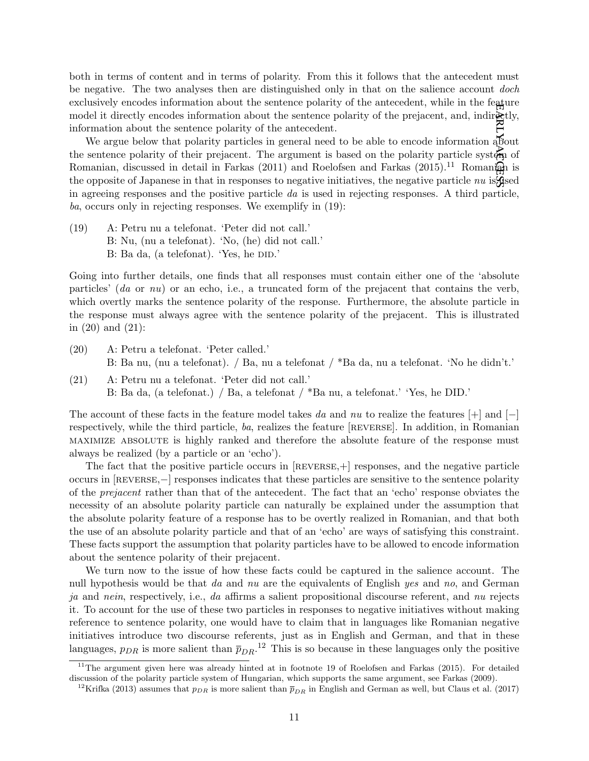${\rm FAB}$ both in terms of content and in terms of polarity. From this it follows that the antecedent must be negative. The two analyses then are distinguished only in that on the salience account *doch* exclusively encodes information about the sentence polarity of the antecedent, while in the feature model it directly encodes information about the sentence polarity of the prejacent, and, indirectly, information about the sentence polarity of the antecedent.

access We argue below that polarity particles in general need to be able to encode information about the sentence polarity of their prejacent. The argument is based on the polarity particle system of Romanian, discussed in detail in Farkas (2011) and Roelofsen and Farkas (2015).<sup>11</sup> Romanian is the opposite of Japanese in that in responses to negative initiatives, the negative particle  $nu$  is  $q$ sed in agreeing responses and the positive particle  $da$  is used in rejecting responses. A third particle, ba, occurs only in rejecting responses. We exemplify in (19):

(19) A: Petru nu a telefonat. 'Peter did not call.' B: Nu, (nu a telefonat). 'No, (he) did not call.' B: Ba da, (a telefonat). 'Yes, he DID.'

Going into further details, one finds that all responses must contain either one of the 'absolute particles'  $(da \text{ or } nu)$  or an echo, i.e., a truncated form of the prejacent that contains the verb, which overtly marks the sentence polarity of the response. Furthermore, the absolute particle in the response must always agree with the sentence polarity of the prejacent. This is illustrated in (20) and (21):

- (20) A: Petru a telefonat. 'Peter called.' B: Ba nu, (nu a telefonat). / Ba, nu a telefonat / \*Ba da, nu a telefonat. 'No he didn't.'
- (21) A: Petru nu a telefonat. 'Peter did not call.' B: Ba da, (a telefonat.) / Ba, a telefonat / \*Ba nu, a telefonat.' 'Yes, he DID.'

The account of these facts in the feature model takes da and nu to realize the features  $[+]$  and  $[$ respectively, while the third particle, ba, realizes the feature [reverse]. In addition, in Romanian maximize absolute is highly ranked and therefore the absolute feature of the response must always be realized (by a particle or an 'echo').

The fact that the positive particle occurs in  $[REVERSE,+]$  responses, and the negative particle occurs in [reverse,−] responses indicates that these particles are sensitive to the sentence polarity of the prejacent rather than that of the antecedent. The fact that an 'echo' response obviates the necessity of an absolute polarity particle can naturally be explained under the assumption that the absolute polarity feature of a response has to be overtly realized in Romanian, and that both the use of an absolute polarity particle and that of an 'echo' are ways of satisfying this constraint. These facts support the assumption that polarity particles have to be allowed to encode information about the sentence polarity of their prejacent.

We turn now to the issue of how these facts could be captured in the salience account. The null hypothesis would be that da and nu are the equivalents of English yes and no, and German ja and nein, respectively, i.e., da affirms a salient propositional discourse referent, and nu rejects it. To account for the use of these two particles in responses to negative initiatives without making reference to sentence polarity, one would have to claim that in languages like Romanian negative initiatives introduce two discourse referents, just as in English and German, and that in these languages,  $p_{DR}$  is more salient than  $\bar{p}_{DR}$ .<sup>12</sup> This is so because in these languages only the positive

 $11$ The argument given here was already hinted at in footnote 19 of Roelofsen and Farkas (2015). For detailed discussion of the polarity particle system of Hungarian, which supports the same argument, see Farkas (2009).

<sup>&</sup>lt;sup>12</sup>Krifka (2013) assumes that  $p_{DR}$  is more salient than  $\overline{p}_{DR}$  in English and German as well, but Claus et al. (2017)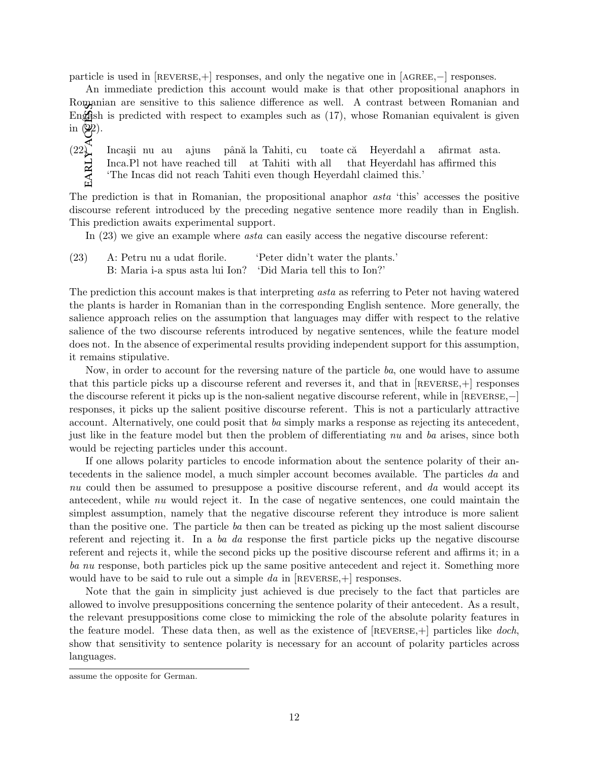particle is used in  $[REVERSE,+]$  responses, and only the negative one in  $[AGEE,+]$  responses.

An immediate prediction this account would make is that other propositional anaphors in Romanian are sensitive to this salience difference as well. A contrast between Romanian and English is predicted with respect to examples such as  $(17)$ , whose Romanian equivalent is given

EARLY ACCESS in  $\overline{Q}$ ).<br>
(22)<br>
(22)<br>  $\overline{H}$ <br>  $\overline{H}$  $(22)$  Incasii nu au Inca.Pl not have reached till ajuns până la Tahiti, cu at Tahiti with all toate că that Heyerdahl has affirmed this Heyerdahl a afirmat asta. 'The Incas did not reach Tahiti even though Heyerdahl claimed this.'

The prediction is that in Romanian, the propositional anaphor asta 'this' accesses the positive discourse referent introduced by the preceding negative sentence more readily than in English. This prediction awaits experimental support.

In  $(23)$  we give an example where *asta* can easily access the negative discourse referent:

(23) A: Petru nu a udat florile. 'Peter didn't water the plants.' B: Maria i-a spus asta lui Ion? 'Did Maria tell this to Ion?'

The prediction this account makes is that interpreting asta as referring to Peter not having watered the plants is harder in Romanian than in the corresponding English sentence. More generally, the salience approach relies on the assumption that languages may differ with respect to the relative salience of the two discourse referents introduced by negative sentences, while the feature model does not. In the absence of experimental results providing independent support for this assumption, it remains stipulative.

Now, in order to account for the reversing nature of the particle ba, one would have to assume that this particle picks up a discourse referent and reverses it, and that in  $[REVERSE,+]$  responses the discourse referent it picks up is the non-salient negative discourse referent, while in [REVERSE,−] responses, it picks up the salient positive discourse referent. This is not a particularly attractive account. Alternatively, one could posit that ba simply marks a response as rejecting its antecedent, just like in the feature model but then the problem of differentiating nu and ba arises, since both would be rejecting particles under this account.

If one allows polarity particles to encode information about the sentence polarity of their antecedents in the salience model, a much simpler account becomes available. The particles da and nu could then be assumed to presuppose a positive discourse referent, and da would accept its antecedent, while nu would reject it. In the case of negative sentences, one could maintain the simplest assumption, namely that the negative discourse referent they introduce is more salient than the positive one. The particle ba then can be treated as picking up the most salient discourse referent and rejecting it. In a ba da response the first particle picks up the negative discourse referent and rejects it, while the second picks up the positive discourse referent and affirms it; in a ba nu response, both particles pick up the same positive antecedent and reject it. Something more would have to be said to rule out a simple da in  $[REVERSE,+]$  responses.

Note that the gain in simplicity just achieved is due precisely to the fact that particles are allowed to involve presuppositions concerning the sentence polarity of their antecedent. As a result, the relevant presuppositions come close to mimicking the role of the absolute polarity features in the feature model. These data then, as well as the existence of  $[REVERSE,+]$  particles like doch, show that sensitivity to sentence polarity is necessary for an account of polarity particles across languages.

assume the opposite for German.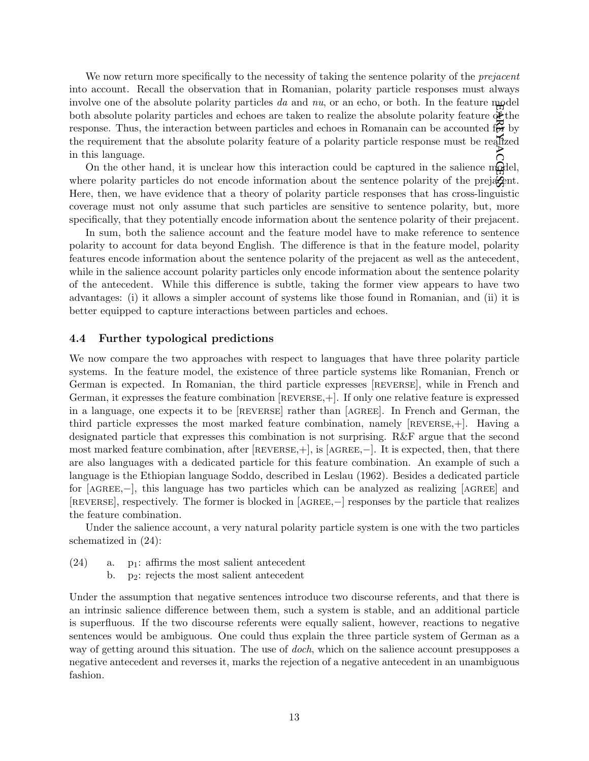early We now return more specifically to the necessity of taking the sentence polarity of the *prejacent* into account. Recall the observation that in Romanian, polarity particle responses must always involve one of the absolute polarity particles da and  $nu$ , or an echo, or both. In the feature model both absolute polarity particles and echoes are taken to realize the absolute polarity feature  $\Phi$  the response. Thus, the interaction between particles and echoes in Romanain can be accounted  $f_{\sigma}$  by the requirement that the absolute polarity feature of a polarity particle response must be realized in this language.

access On the other hand, it is unclear how this interaction could be captured in the salience model, where polarity particles do not encode information about the sentence polarity of the preja $\mathcal{L}_{\text{ent}}$ . Here, then, we have evidence that a theory of polarity particle responses that has cross-linguistic coverage must not only assume that such particles are sensitive to sentence polarity, but, more specifically, that they potentially encode information about the sentence polarity of their prejacent.

In sum, both the salience account and the feature model have to make reference to sentence polarity to account for data beyond English. The difference is that in the feature model, polarity features encode information about the sentence polarity of the prejacent as well as the antecedent, while in the salience account polarity particles only encode information about the sentence polarity of the antecedent. While this difference is subtle, taking the former view appears to have two advantages: (i) it allows a simpler account of systems like those found in Romanian, and (ii) it is better equipped to capture interactions between particles and echoes.

#### 4.4 Further typological predictions

We now compare the two approaches with respect to languages that have three polarity particle systems. In the feature model, the existence of three particle systems like Romanian, French or German is expected. In Romanian, the third particle expresses [REVERSE], while in French and German, it expresses the feature combination [reverse,+]. If only one relative feature is expressed in a language, one expects it to be [reverse] rather than [agree]. In French and German, the third particle expresses the most marked feature combination, namely [reverse,+]. Having a designated particle that expresses this combination is not surprising. R&F argue that the second most marked feature combination, after  $[REVERSE,+]$ , is  $[AGEE,+]$ . It is expected, then, that there are also languages with a dedicated particle for this feature combination. An example of such a language is the Ethiopian language Soddo, described in Leslau (1962). Besides a dedicated particle for [agree,−], this language has two particles which can be analyzed as realizing [agree] and [reverse], respectively. The former is blocked in [agree,−] responses by the particle that realizes the feature combination.

Under the salience account, a very natural polarity particle system is one with the two particles schematized in (24):

- $(24)$  a. p<sub>1</sub>: affirms the most salient antecedent
	- b. p2: rejects the most salient antecedent

Under the assumption that negative sentences introduce two discourse referents, and that there is an intrinsic salience difference between them, such a system is stable, and an additional particle is superfluous. If the two discourse referents were equally salient, however, reactions to negative sentences would be ambiguous. One could thus explain the three particle system of German as a way of getting around this situation. The use of *doch*, which on the salience account presupposes a negative antecedent and reverses it, marks the rejection of a negative antecedent in an unambiguous fashion.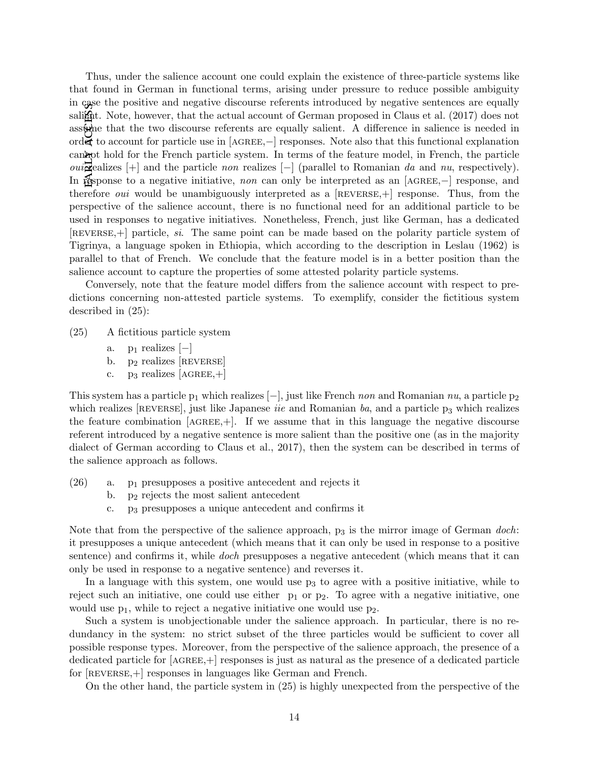EARLY ACESS Thus, under the salience account one could explain the existence of three-particle systems like that found in German in functional terms, arising under pressure to reduce possible ambiguity in case the positive and negative discourse referents introduced by negative sentences are equally salient. Note, however, that the actual account of German proposed in Claus et al. (2017) does not assume that the two discourse referents are equally salient. A difference in salience is needed in order to account for particle use in [agree,−] responses. Note also that this functional explanation cannot hold for the French particle system. In terms of the feature model, in French, the particle *oui*  $\vec{\mathbf{z}}$  ealizes  $[+]$  and the particle non realizes  $[]$  (parallel to Romanian da and nu, respectively). In response to a negative initiative, non can only be interpreted as an [AGREE,–] response, and therefore *oui* would be unambiguously interpreted as a  $[REVERSE,+]$  response. Thus, from the perspective of the salience account, there is no functional need for an additional particle to be used in responses to negative initiatives. Nonetheless, French, just like German, has a dedicated [reverse,+] particle, si. The same point can be made based on the polarity particle system of Tigrinya, a language spoken in Ethiopia, which according to the description in Leslau (1962) is parallel to that of French. We conclude that the feature model is in a better position than the salience account to capture the properties of some attested polarity particle systems.

Conversely, note that the feature model differs from the salience account with respect to predictions concerning non-attested particle systems. To exemplify, consider the fictitious system described in (25):

- (25) A fictitious particle system
	- a.  $p_1$  realizes  $[-]$
	- b.  $p_2$  realizes  $R$ EVERSE
	- c. p<sub>3</sub> realizes  $[AGREE,+]$

This system has a particle  $p_1$  which realizes  $[-]$ , just like French non and Romanian nu, a particle  $p_2$ which realizes  $[REVERSE]$ , just like Japanese *iie* and Romanian ba, and a particle  $p_3$  which realizes the feature combination  $[AGREE,+]$ . If we assume that in this language the negative discourse referent introduced by a negative sentence is more salient than the positive one (as in the majority dialect of German according to Claus et al., 2017), then the system can be described in terms of the salience approach as follows.

- (26) a. p<sup>1</sup> presupposes a positive antecedent and rejects it
	- b. p<sup>2</sup> rejects the most salient antecedent
	- c. p<sup>3</sup> presupposes a unique antecedent and confirms it

Note that from the perspective of the salience approach,  $p_3$  is the mirror image of German doch: it presupposes a unique antecedent (which means that it can only be used in response to a positive sentence) and confirms it, while *doch* presupposes a negative antecedent (which means that it can only be used in response to a negative sentence) and reverses it.

In a language with this system, one would use  $p<sub>3</sub>$  to agree with a positive initiative, while to reject such an initiative, one could use either  $p_1$  or  $p_2$ . To agree with a negative initiative, one would use  $p_1$ , while to reject a negative initiative one would use  $p_2$ .

Such a system is unobjectionable under the salience approach. In particular, there is no redundancy in the system: no strict subset of the three particles would be sufficient to cover all possible response types. Moreover, from the perspective of the salience approach, the presence of a dedicated particle for  $[AGREE,+]$  responses is just as natural as the presence of a dedicated particle for [REVERSE, +] responses in languages like German and French.

On the other hand, the particle system in (25) is highly unexpected from the perspective of the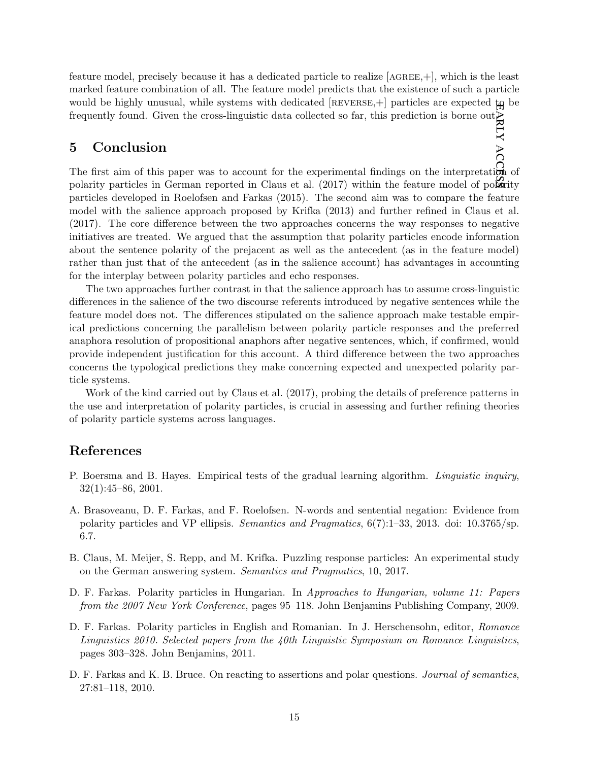early feature model, precisely because it has a dedicated particle to realize [agree,+], which is the least marked feature combination of all. The feature model predicts that the existence of such a particle would be highly unusual, while systems with dedicated  $[REVERSE,+]$  particles are expected  $\boldsymbol{\mu}$  be frequently found. Given the cross-linguistic data collected so far, this prediction is borne out.

# 5 Conclusion

access The first aim of this paper was to account for the experimental findings on the interpretation of polarity particles in German reported in Claus et al.  $(2017)$  within the feature model of polarity particles developed in Roelofsen and Farkas (2015). The second aim was to compare the feature model with the salience approach proposed by Krifka (2013) and further refined in Claus et al. (2017). The core difference between the two approaches concerns the way responses to negative initiatives are treated. We argued that the assumption that polarity particles encode information about the sentence polarity of the prejacent as well as the antecedent (as in the feature model) rather than just that of the antecedent (as in the salience account) has advantages in accounting for the interplay between polarity particles and echo responses.

The two approaches further contrast in that the salience approach has to assume cross-linguistic differences in the salience of the two discourse referents introduced by negative sentences while the feature model does not. The differences stipulated on the salience approach make testable empirical predictions concerning the parallelism between polarity particle responses and the preferred anaphora resolution of propositional anaphors after negative sentences, which, if confirmed, would provide independent justification for this account. A third difference between the two approaches concerns the typological predictions they make concerning expected and unexpected polarity particle systems.

Work of the kind carried out by Claus et al. (2017), probing the details of preference patterns in the use and interpretation of polarity particles, is crucial in assessing and further refining theories of polarity particle systems across languages.

### References

- P. Boersma and B. Hayes. Empirical tests of the gradual learning algorithm. *Linguistic inquiry*, 32(1):45–86, 2001.
- A. Brasoveanu, D. F. Farkas, and F. Roelofsen. N-words and sentential negation: Evidence from polarity particles and VP ellipsis. Semantics and Pragmatics, 6(7):1–33, 2013. doi: 10.3765/sp. 6.7.
- B. Claus, M. Meijer, S. Repp, and M. Krifka. Puzzling response particles: An experimental study on the German answering system. Semantics and Pragmatics, 10, 2017.
- D. F. Farkas. Polarity particles in Hungarian. In Approaches to Hungarian, volume 11: Papers from the 2007 New York Conference, pages 95–118. John Benjamins Publishing Company, 2009.
- D. F. Farkas. Polarity particles in English and Romanian. In J. Herschensohn, editor, Romance Linguistics 2010. Selected papers from the 40th Linguistic Symposium on Romance Linguistics, pages 303–328. John Benjamins, 2011.
- D. F. Farkas and K. B. Bruce. On reacting to assertions and polar questions. *Journal of semantics*, 27:81–118, 2010.